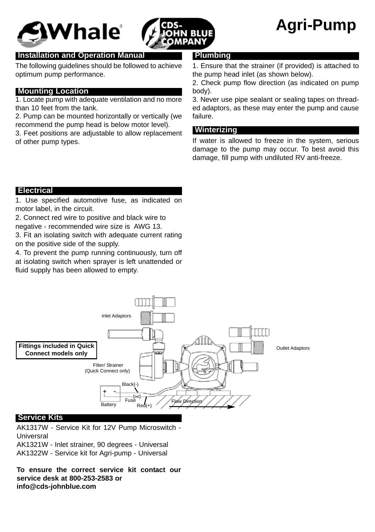



# **Agri-Pump**

# **Installation and Operation Manual**

The following guidelines should be followed to achieve optimum pump performance.

# **Mounting Location**

1. Locate pump with adequate ventilation and no more than 10 feet from the tank.

2. Pump can be mounted horizontally or vertically (we recommend the pump head is below motor level).

3. Feet positions are adjustable to allow replacement of other pump types.

## **Plumbing**

1. Ensure that the strainer (if provided) is attached to the pump head inlet (as shown below).

2. Check pump flow direction (as indicated on pump body).

3. Never use pipe sealant or sealing tapes on threaded adaptors, as these may enter the pump and cause failure.

#### **Winterizing**

If water is allowed to freeze in the system, serious damage to the pump may occur. To best avoid this damage, fill pump with undiluted RV anti-freeze.

# 1 **Electrical**

1. Use specified automotive fuse, as indicated on motor label, in the circuit.

2. Connect red wire to positive and black wire to

negative - recommended wire size is AWG 13.

3. Fit an isolating switch with adequate current rating on the positive side of the supply.

4. To prevent the pump running continuously, turn off at isolating switch when sprayer is left unattended or fluid supply has been allowed to empty.



## **Service Kits**

AK1317W - Service Kit for 12V Pump Microswitch - Universral AK1321W - Inlet strainer, 90 degrees - Universal AK1322W - Service kit for Agri-pump - Universal

**To ensure the correct service kit contact our service desk at 800-253-2583 or info@cds-johnblue.com**